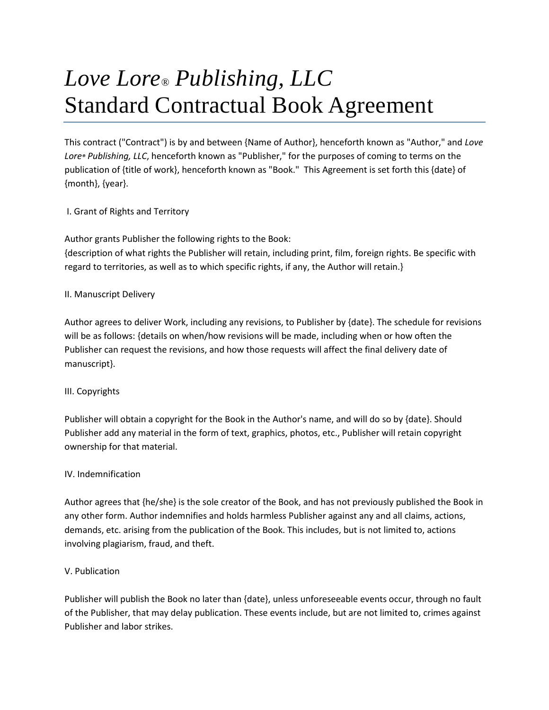# *Love Lore® Publishing, LLC* Standard Contractual Book Agreement

This contract ("Contract") is by and between {Name of Author}, henceforth known as "Author," and *Love Lore® Publishing, LLC*, henceforth known as "Publisher," for the purposes of coming to terms on the publication of {title of work}, henceforth known as "Book." This Agreement is set forth this {date} of {month}, {year}.

## I. Grant of Rights and Territory

Author grants Publisher the following rights to the Book:

{description of what rights the Publisher will retain, including print, film, foreign rights. Be specific with regard to territories, as well as to which specific rights, if any, the Author will retain.}

## II. Manuscript Delivery

Author agrees to deliver Work, including any revisions, to Publisher by {date}. The schedule for revisions will be as follows: {details on when/how revisions will be made, including when or how often the Publisher can request the revisions, and how those requests will affect the final delivery date of manuscript}.

## III. Copyrights

Publisher will obtain a copyright for the Book in the Author's name, and will do so by {date}. Should Publisher add any material in the form of text, graphics, photos, etc., Publisher will retain copyright ownership for that material.

## IV. Indemnification

Author agrees that {he/she} is the sole creator of the Book, and has not previously published the Book in any other form. Author indemnifies and holds harmless Publisher against any and all claims, actions, demands, etc. arising from the publication of the Book. This includes, but is not limited to, actions involving plagiarism, fraud, and theft.

# V. Publication

Publisher will publish the Book no later than {date}, unless unforeseeable events occur, through no fault of the Publisher, that may delay publication. These events include, but are not limited to, crimes against Publisher and labor strikes.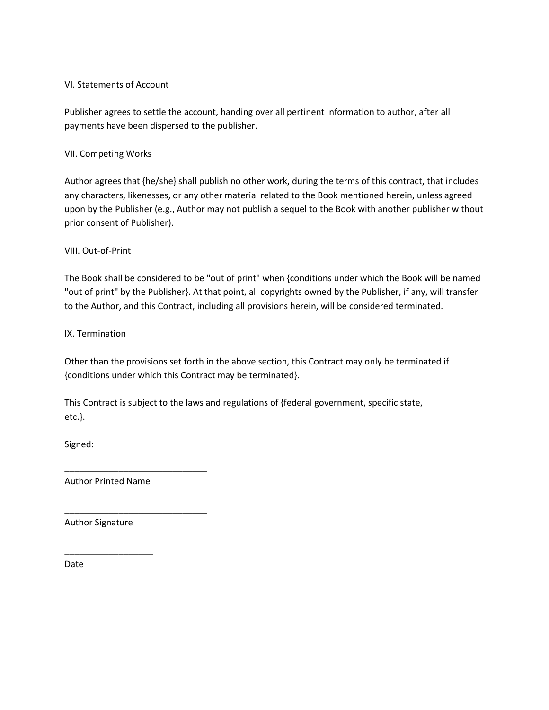#### VI. Statements of Account

Publisher agrees to settle the account, handing over all pertinent information to author, after all payments have been dispersed to the publisher.

VII. Competing Works

Author agrees that {he/she} shall publish no other work, during the terms of this contract, that includes any characters, likenesses, or any other material related to the Book mentioned herein, unless agreed upon by the Publisher (e.g., Author may not publish a sequel to the Book with another publisher without prior consent of Publisher).

#### VIII. Out-of-Print

The Book shall be considered to be "out of print" when {conditions under which the Book will be named "out of print" by the Publisher}. At that point, all copyrights owned by the Publisher, if any, will transfer to the Author, and this Contract, including all provisions herein, will be considered terminated.

IX. Termination

Other than the provisions set forth in the above section, this Contract may only be terminated if {conditions under which this Contract may be terminated}.

This Contract is subject to the laws and regulations of {federal government, specific state, etc.}.

Signed:

Author Printed Name

\_\_\_\_\_\_\_\_\_\_\_\_\_\_\_\_\_\_

\_\_\_\_\_\_\_\_\_\_\_\_\_\_\_\_\_\_\_\_\_\_\_\_\_\_\_\_\_

\_\_\_\_\_\_\_\_\_\_\_\_\_\_\_\_\_\_\_\_\_\_\_\_\_\_\_\_\_

Author Signature

Date